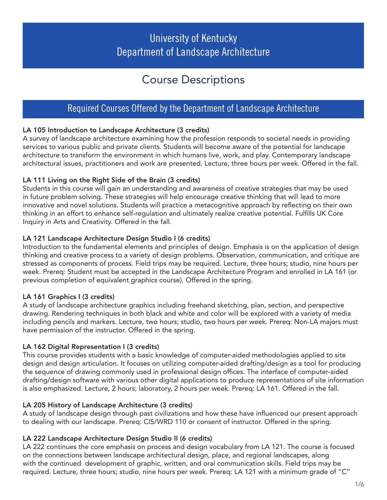# University of Kentucky Department of Landscape Architecture

# Course Descriptions

# Required Courses Offered by the Department of Landscape Architecture

# LA 105 Introduction to Landscape Architecture (3 credits)

A survey of landscape architecture examining how the profession responds to societal needs in providing services to various public and private clients. Students will become aware of the potential for landscape architecture to transform the environment in which humans live, work, and play. Contemporary landscape architectural issues, practitioners and work are presented. Lecture, three hours per week. Offered in the fall.

#### LA 111 Living on the Right Side of the Brain (3 credits)

Students in this course will gain an understanding and awareness of creative strategies that may be used in future problem solving. These strategies will help encourage creative thinking that will lead to more innovative and novel solutions. Students will practice a metacognitive approach by reflecting on their own thinking in an effort to enhance self-regulation and ultimately realize creative potential. Fulfills UK Core Inquiry in Arts and Creativity. Offered in the fall.

#### LA 121 Landscape Architecture Design Studio I (6 credits)

Introduction to the fundamental elements and principles of design. Emphasis is on the application of design thinking and creative process to a variety of design problems. Observation, communication, and critique are stressed as components of process. Field trips may be required. Lecture, three hours; studio, nine hours per week. Prereq: Student must be accepted in the Landscape Architecture Program and enrolled in LA 161 (or previous completion of equivalent graphics course). Offered in the spring.

# LA 161 Graphics I (3 credits)

A study of landscape architecture graphics including freehand sketching, plan, section, and perspective drawing. Rendering techniques in both black and white and color will be explored with a variety of media including pencils and markers. Lecture, two hours; studio, two hours per week. Prereq: Non-LA majors must have permission of the instructor. Offered in the spring.

#### LA 162 Digital Representation I (3 credits)

This course provides students with a basic knowledge of computer-aided methodologies applied to site design and design articulation. It focuses on utilizing computer-aided drafting/design as a tool for producing the sequence of drawing commonly used in professional design offices. The interface of computer-aided drafting/design software with various other digital applications to produce representations of site information is also emphasized. Lecture, 2 hours; laboratory, 2 hours per week. Prereq: LA 161. Offered in the fall.

#### LA 205 History of Landscape Architecture (3 credits)

A study of landscape design through past civilizations and how these have influenced our present approach to dealing with our landscape. Prereq: CIS/WRD 110 or consent of instructor. Offered in the spring.

#### LA 222 Landscape Architecture Design Studio II (6 credits)

LA 222 continues the core emphasis on process and design vocabulary from LA 121. The course is focused on the connections between landscape architectural design, place, and regional landscapes, along with the continued development of graphic, written, and oral communication skills. Field trips may be required. Lecture, three hours; studio, nine hours per week. Prereq: LA 121 with a minimum grade of "C"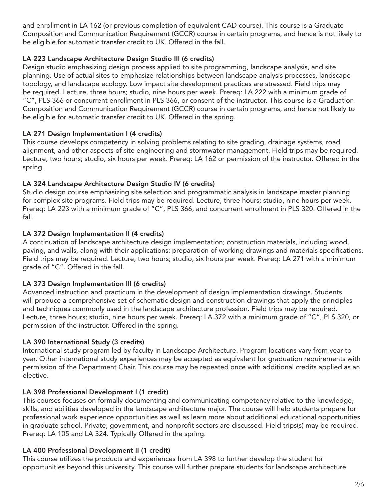and enrollment in LA 162 (or previous completion of equivalent CAD course). This course is a Graduate Composition and Communication Requirement (GCCR) course in certain programs, and hence is not likely to be eligible for automatic transfer credit to UK. Offered in the fall.

## LA 223 Landscape Architecture Design Studio III (6 credits)

Design studio emphasizing design process applied to site programming, landscape analysis, and site planning. Use of actual sites to emphasize relationships between landscape analysis processes, landscape topology, and landscape ecology. Low impact site development practices are stressed. Field trips may be required. Lecture, three hours; studio, nine hours per week. Prereq: LA 222 with a minimum grade of "C", PLS 366 or concurrent enrollment in PLS 366, or consent of the instructor. This course is a Graduation Composition and Communication Requirement (GCCR) course in certain programs, and hence not likely to be eligible for automatic transfer credit to UK. Offered in the spring.

### LA 271 Design Implementation I (4 credits)

This course develops competency in solving problems relating to site grading, drainage systems, road alignment, and other aspects of site engineering and stormwater management. Field trips may be required. Lecture, two hours; studio, six hours per week. Prereq: LA 162 or permission of the instructor. Offered in the spring.

### LA 324 Landscape Architecture Design Studio IV (6 credits)

Studio design course emphasizing site selection and programmatic analysis in landscape master planning for complex site programs. Field trips may be required. Lecture, three hours; studio, nine hours per week. Prereq: LA 223 with a minimum grade of "C", PLS 366, and concurrent enrollment in PLS 320. Offered in the fall.

### LA 372 Design Implementation II (4 credits)

A continuation of landscape architecture design implementation; construction materials, including wood, paving, and walls, along with their applications: preparation of working drawings and materials specifications. Field trips may be required. Lecture, two hours; studio, six hours per week. Prereq: LA 271 with a minimum grade of "C". Offered in the fall.

#### LA 373 Design Implementation III (6 credits)

Advanced instruction and practicum in the development of design implementation drawings. Students will produce a comprehensive set of schematic design and construction drawings that apply the principles and techniques commonly used in the landscape architecture profession. Field trips may be required. Lecture, three hours; studio, nine hours per week. Prereq: LA 372 with a minimum grade of "C", PLS 320, or permission of the instructor. Offered in the spring.

# LA 390 International Study (3 credits)

International study program led by faculty in Landscape Architecture. Program locations vary from year to year. Other international study experiences may be accepted as equivalent for graduation requirements with permission of the Department Chair. This course may be repeated once with additional credits applied as an elective.

# LA 398 Professional Development I (1 credit)

This courses focuses on formally documenting and communicating competency relative to the knowledge, skills, and abilities developed in the landscape architecture major. The course will help students prepare for professional work experience opportunities as well as learn more about additional educational opportunities in graduate school. Private, government, and nonprofit sectors are discussed. Field trips(s) may be required. Prereq: LA 105 and LA 324. Typically Offered in the spring.

# LA 400 Professional Development II (1 credit)

This course utilizes the products and experiences from LA 398 to further develop the student for opportunities beyond this university. This course will further prepare students for landscape architecture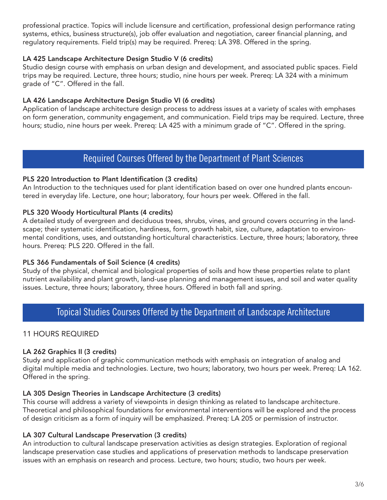professional practice. Topics will include licensure and certification, professional design performance rating systems, ethics, business structure(s), job offer evaluation and negotiation, career financial planning, and regulatory requirements. Field trip(s) may be required. Prereq: LA 398. Offered in the spring.

#### LA 425 Landscape Architecture Design Studio V (6 credits)

Studio design course with emphasis on urban design and development, and associated public spaces. Field trips may be required. Lecture, three hours; studio, nine hours per week. Prereq: LA 324 with a minimum grade of "C". Offered in the fall.

#### LA 426 Landscape Architecture Design Studio VI (6 credits)

Application of landscape architecture design process to address issues at a variety of scales with emphases on form generation, community engagement, and communication. Field trips may be required. Lecture, three hours; studio, nine hours per week. Prereq: LA 425 with a minimum grade of "C". Offered in the spring.

# Required Courses Offered by the Department of Plant Sciences

#### PLS 220 Introduction to Plant Identification (3 credits)

An Introduction to the techniques used for plant identification based on over one hundred plants encountered in everyday life. Lecture, one hour; laboratory, four hours per week. Offered in the fall.

#### PLS 320 Woody Horticultural Plants (4 credits)

A detailed study of evergreen and deciduous trees, shrubs, vines, and ground covers occurring in the landscape; their systematic identification, hardiness, form, growth habit, size, culture, adaptation to environmental conditions, uses, and outstanding horticultural characteristics. Lecture, three hours; laboratory, three hours. Prereq: PLS 220. Offered in the fall.

#### PLS 366 Fundamentals of Soil Science (4 credits)

Study of the physical, chemical and biological properties of soils and how these properties relate to plant nutrient availability and plant growth, land-use planning and management issues, and soil and water quality issues. Lecture, three hours; laboratory, three hours. Offered in both fall and spring.

# Topical Studies Courses Offered by the Department of Landscape Architecture

#### 11 HOURS REQUIRED

#### LA 262 Graphics II (3 credits)

Study and application of graphic communication methods with emphasis on integration of analog and digital multiple media and technologies. Lecture, two hours; laboratory, two hours per week. Prereq: LA 162. Offered in the spring.

#### LA 305 Design Theories in Landscape Architecture (3 credits)

This course will address a variety of viewpoints in design thinking as related to landscape architecture. Theoretical and philosophical foundations for environmental interventions will be explored and the process of design criticism as a form of inquiry will be emphasized. Prereq: LA 205 or permission of instructor.

#### LA 307 Cultural Landscape Preservation (3 credits)

An introduction to cultural landscape preservation activities as design strategies. Exploration of regional landscape preservation case studies and applications of preservation methods to landscape preservation issues with an emphasis on research and process. Lecture, two hours; studio, two hours per week.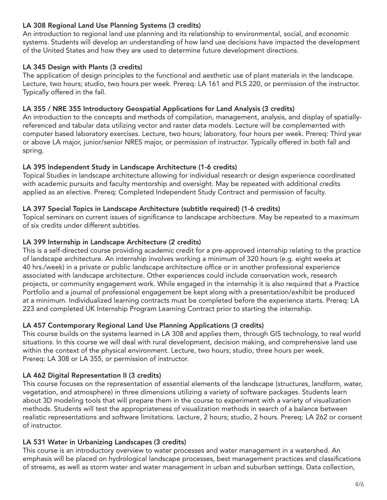## LA 308 Regional Land Use Planning Systems (3 credits)

An introduction to regional land use planning and its relationship to environmental, social, and economic systems. Students will develop an understanding of how land use decisions have impacted the development of the United States and how they are used to determine future development directions.

#### LA 345 Design with Plants (3 credits)

The application of design principles to the functional and aesthetic use of plant materials in the landscape. Lecture, two hours; studio, two hours per week. Prereq: LA 161 and PLS 220, or permission of the instructor. Typically offered in the fall.

#### LA 355 / NRE 355 Introductory Geospatial Applications for Land Analysis (3 credits)

An introduction to the concepts and methods of compilation, management, analysis, and display of spatiallyreferenced and tabular data utilizing vector and raster data models. Lecture will be complemented with computer based laboratory exercises. Lecture, two hours; laboratory, four hours per week. Prereq: Third year or above LA major, junior/senior NRES major, or permission of instructor. Typically offered in both fall and spring.

#### LA 395 Independent Study in Landscape Architecture (1-6 credits)

Topical Studies in landscape architecture allowing for individual research or design experience coordinated with academic pursuits and faculty mentorship and oversight. May be repeated with additional credits applied as an elective. Prereq: Completed Independent Study Contract and permission of faculty.

#### LA 397 Special Topics in Landscape Architecture (subtitle required) (1-6 credits)

Topical seminars on current issues of significance to landscape architecture. May be repeated to a maximum of six credits under different subtitles.

#### LA 399 Internship in Landscape Architecture (2 credits)

This is a self-directed course providing academic credit for a pre-approved internship relating to the practice of landscape architecture. An internship involves working a minimum of 320 hours (e.g. eight weeks at 40 hrs./week) in a private or public landscape architecture office or in another professional experience associated with landscape architecture. Other experiences could include conservation work, research projects, or community engagement work. While engaged in the internship it is also required that a Practice Portfolio and a journal of professional engagement be kept along with a presentation/exhibit be produced at a minimum. Individualized learning contracts must be completed before the experience starts. Prereq: LA 223 and completed UK Internship Program Learning Contract prior to starting the internship.

#### LA 457 Contemporary Regional Land Use Planning Applications (3 credits)

This course builds on the systems learned in LA 308 and applies them, through GIS technology, to real world situations. In this course we will deal with rural development, decision making, and comprehensive land use within the context of the physical environment. Lecture, two hours; studio, three hours per week. Prereq: LA 308 or LA 355, or permission of instructor.

#### LA 462 Digital Representation II (3 credits)

This course focuses on the representation of essential elements of the landscape (structures, landform, water, vegetation, and atmosphere) in three dimensions utilizing a variety of software packages. Students learn about 3D modeling tools that will prepare them in the course to experiment with a variety of visualization methods. Students will test the appropriateness of visualization methods in search of a balance between realistic representations and software limitations. Lecture, 2 hours; studio, 2 hours. Prereq: LA 262 or consent of instructor.

#### LA 531 Water in Urbanizing Landscapes (3 credits)

This course is an introductory overview to water processes and water management in a watershed. An emphasis will be placed on hydrological landscape processes, best management practices and classifications of streams, as well as storm water and water management in urban and suburban settings. Data collection,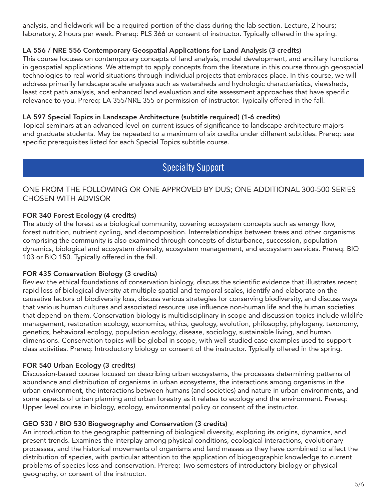analysis, and fieldwork will be a required portion of the class during the lab section. Lecture, 2 hours; laboratory, 2 hours per week. Prereq: PLS 366 or consent of instructor. Typically offered in the spring.

# LA 556 / NRE 556 Contemporary Geospatial Applications for Land Analysis (3 credits)

This course focuses on contemporary concepts of land analysis, model development, and ancillary functions in geospatial applications. We attempt to apply concepts from the literature in this course through geospatial technologies to real world situations through individual projects that embraces place. In this course, we will address primarily landscape scale analyses such as watersheds and hydrologic characteristics, viewsheds, least cost path analysis, and enhanced land evaluation and site assessment approaches that have specific relevance to you. Prereq: LA 355/NRE 355 or permission of instructor. Typically offered in the fall.

#### LA 597 Special Topics in Landscape Architecture (subtitle required) (1-6 credits)

Topical seminars at an advanced level on current issues of significance to landscape architecture majors and graduate students. May be repeated to a maximum of six credits under different subtitles. Prereq: see specific prerequisites listed for each Special Topics subtitle course.

# Specialty Support

## ONE FROM THE FOLLOWING OR ONE APPROVED BY DUS; ONE ADDITIONAL 300-500 SERIES CHOSEN WITH ADVISOR

#### FOR 340 Forest Ecology (4 credits)

The study of the forest as a biological community, covering ecosystem concepts such as energy flow, forest nutrition, nutrient cycling, and decomposition. Interrelationships between trees and other organisms comprising the community is also examined through concepts of disturbance, succession, population dynamics, biological and ecosystem diversity, ecosystem management, and ecosystem services. Prereq: BIO 103 or BIO 150. Typically offered in the fall.

#### FOR 435 Conservation Biology (3 credits)

Review the ethical foundations of conservation biology, discuss the scientific evidence that illustrates recent rapid loss of biological diversity at multiple spatial and temporal scales, identify and elaborate on the causative factors of biodiversity loss, discuss various strategies for conserving biodiversity, and discuss ways that various human cultures and associated resource use influence non-human life and the human societies that depend on them. Conservation biology is multidisciplinary in scope and discussion topics include wildlife management, restoration ecology, economics, ethics, geology, evolution, philosophy, phylogeny, taxonomy, genetics, behavioral ecology, population ecology, disease, sociology, sustainable living, and human dimensions. Conservation topics will be global in scope, with well-studied case examples used to support class activities. Prereq: Introductory biology or consent of the instructor. Typically offered in the spring.

#### FOR 540 Urban Ecology (3 credits)

Discussion-based course focused on describing urban ecosystems, the processes determining patterns of abundance and distribution of organisms in urban ecosystems, the interactions among organisms in the urban environment, the interactions between humans (and societies) and nature in urban environments, and some aspects of urban planning and urban forestry as it relates to ecology and the environment. Prereq: Upper level course in biology, ecology, environmental policy or consent of the instructor.

#### GEO 530 / BIO 530 Biogeography and Conservation (3 credits)

An introduction to the geographic patterning of biological diversity, exploring its origins, dynamics, and present trends. Examines the interplay among physical conditions, ecological interactions, evolutionary processes, and the historical movements of organisms and land masses as they have combined to affect the distribution of species, with particular attention to the application of biogeographic knowledge to current problems of species loss and conservation. Prereq: Two semesters of introductory biology or physical geography, or consent of the instructor.